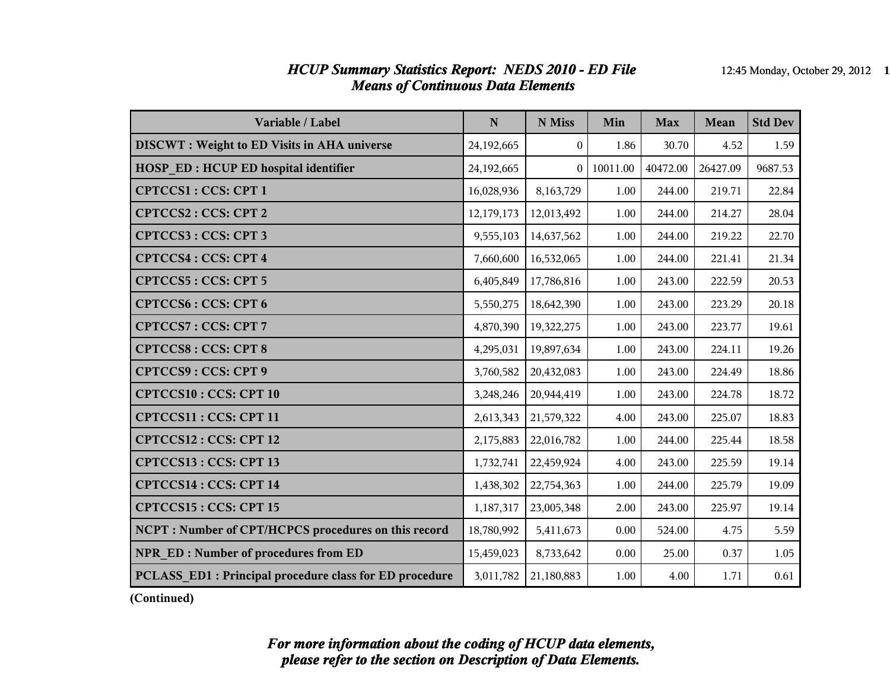### *HCUP Summary Statistics Report: NEDS 2010 - ED File* 12:45 Monday, October 29, 2012 1 *Means of Continuous Data Elements*

| Variable / Label                                        | N          | N Miss         | Min      | <b>Max</b> | Mean     | <b>Std Dev</b> |
|---------------------------------------------------------|------------|----------------|----------|------------|----------|----------------|
| <b>DISCWT: Weight to ED Visits in AHA universe</b>      | 24,192,665 | $\overline{0}$ | 1.86     | 30.70      | 4.52     | 1.59           |
| <b>HOSP ED: HCUP ED hospital identifier</b>             | 24,192,665 | $\theta$       | 10011.00 | 40472.00   | 26427.09 | 9687.53        |
| CPTCCS1: CCS: CPT 1                                     | 16,028,936 | 8,163,729      | 1.00     | 244.00     | 219.71   | 22.84          |
| CPTCCS2: CCS: CPT 2                                     | 12,179,173 | 12,013,492     | 1.00     | 244.00     | 214.27   | 28.04          |
| CPTCCS3: CCS: CPT 3                                     | 9,555,103  | 14,637,562     | 1.00     | 244.00     | 219.22   | 22.70          |
| <b>CPTCCS4: CCS: CPT 4</b>                              | 7,660,600  | 16,532,065     | 1.00     | 244.00     | 221.41   | 21.34          |
| CPTCCS5: CCS: CPT 5                                     | 6,405,849  | 17,786,816     | 1.00     | 243.00     | 222.59   | 20.53          |
| <b>CPTCCS6: CCS: CPT 6</b>                              | 5,550,275  | 18,642,390     | 1.00     | 243.00     | 223.29   | 20.18          |
| CPTCCS7: CCS: CPT 7                                     | 4,870,390  | 19,322,275     | 1.00     | 243.00     | 223.77   | 19.61          |
| <b>CPTCCS8: CCS: CPT 8</b>                              | 4,295,031  | 19,897,634     | 1.00     | 243.00     | 224.11   | 19.26          |
| <b>CPTCCS9: CCS: CPT 9</b>                              | 3,760,582  | 20,432,083     | 1.00     | 243.00     | 224.49   | 18.86          |
| <b>CPTCCS10: CCS: CPT 10</b>                            | 3,248,246  | 20,944,419     | 1.00     | 243.00     | 224.78   | 18.72          |
| CPTCCS11: CCS: CPT 11                                   | 2,613,343  | 21,579,322     | 4.00     | 243.00     | 225.07   | 18.83          |
| CPTCCS12: CCS: CPT 12                                   | 2,175,883  | 22,016,782     | 1.00     | 244.00     | 225.44   | 18.58          |
| CPTCCS13: CCS: CPT 13                                   | 1,732,741  | 22,459,924     | 4.00     | 243.00     | 225.59   | 19.14          |
| CPTCCS14 : CCS: CPT 14                                  | 1,438,302  | 22,754,363     | 1.00     | 244.00     | 225.79   | 19.09          |
| CPTCCS15: CCS: CPT 15                                   | 1,187,317  | 23,005,348     | 2.00     | 243.00     | 225.97   | 19.14          |
| NCPT: Number of CPT/HCPCS procedures on this record     | 18,780,992 | 5,411,673      | 0.00     | 524.00     | 4.75     | 5.59           |
| <b>NPR ED: Number of procedures from ED</b>             | 15,459,023 | 8,733,642      | 0.00     | 25.00      | 0.37     | 1.05           |
| PCLASS ED1 : Principal procedure class for ED procedure | 3,011,782  | 21,180,883     | 1.00     | 4.00       | 1.71     | 0.61           |

**(Continued)**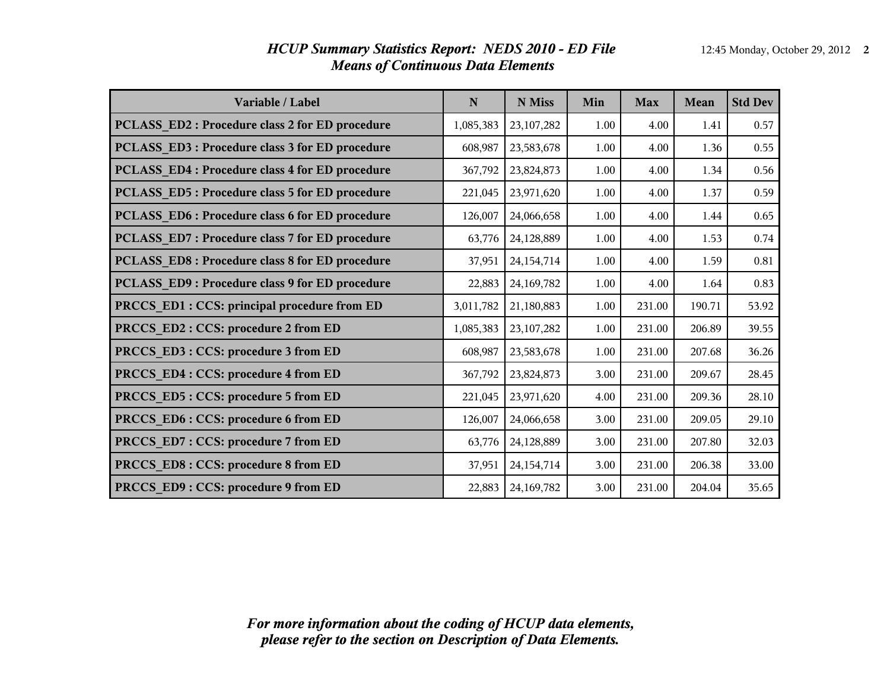| Variable / Label                                      | $\mathbf N$ | N Miss       | Min  | <b>Max</b> | Mean   | <b>Std Dev</b> |
|-------------------------------------------------------|-------------|--------------|------|------------|--------|----------------|
| <b>PCLASS_ED2: Procedure class 2 for ED procedure</b> | 1,085,383   | 23, 107, 282 | 1.00 | 4.00       | 1.41   | 0.57           |
| PCLASS_ED3: Procedure class 3 for ED procedure        | 608,987     | 23,583,678   | 1.00 | 4.00       | 1.36   | 0.55           |
| PCLASS ED4 : Procedure class 4 for ED procedure       | 367,792     | 23,824,873   | 1.00 | 4.00       | 1.34   | 0.56           |
| PCLASS_ED5: Procedure class 5 for ED procedure        | 221,045     | 23,971,620   | 1.00 | 4.00       | 1.37   | 0.59           |
| <b>PCLASS_ED6: Procedure class 6 for ED procedure</b> | 126,007     | 24,066,658   | 1.00 | 4.00       | 1.44   | 0.65           |
| PCLASS_ED7: Procedure class 7 for ED procedure        | 63,776      | 24,128,889   | 1.00 | 4.00       | 1.53   | 0.74           |
| <b>PCLASS_ED8: Procedure class 8 for ED procedure</b> | 37,951      | 24, 154, 714 | 1.00 | 4.00       | 1.59   | 0.81           |
| PCLASS ED9: Procedure class 9 for ED procedure        | 22,883      | 24,169,782   | 1.00 | 4.00       | 1.64   | 0.83           |
| PRCCS_ED1 : CCS: principal procedure from ED          | 3,011,782   | 21,180,883   | 1.00 | 231.00     | 190.71 | 53.92          |
| PRCCS ED2 : CCS: procedure 2 from ED                  | 1,085,383   | 23, 107, 282 | 1.00 | 231.00     | 206.89 | 39.55          |
| PRCCS_ED3: CCS: procedure 3 from ED                   | 608,987     | 23,583,678   | 1.00 | 231.00     | 207.68 | 36.26          |
| PRCCS_ED4 : CCS: procedure 4 from ED                  | 367,792     | 23,824,873   | 3.00 | 231.00     | 209.67 | 28.45          |
| PRCCS_ED5: CCS: procedure 5 from ED                   | 221,045     | 23,971,620   | 4.00 | 231.00     | 209.36 | 28.10          |
| PRCCS_ED6 : CCS: procedure 6 from ED                  | 126,007     | 24,066,658   | 3.00 | 231.00     | 209.05 | 29.10          |
| PRCCS ED7: CCS: procedure 7 from ED                   | 63,776      | 24,128,889   | 3.00 | 231.00     | 207.80 | 32.03          |
| PRCCS ED8 : CCS: procedure 8 from ED                  | 37,951      | 24, 154, 714 | 3.00 | 231.00     | 206.38 | 33.00          |
| PRCCS ED9 : CCS: procedure 9 from ED                  | 22,883      | 24,169,782   | 3.00 | 231.00     | 204.04 | 35.65          |

### *HCUP Summary Statistics Report: NEDS 2010 - ED File* 12:45 Monday, October 29, 2012 2 *Means of Continuous Data Elements*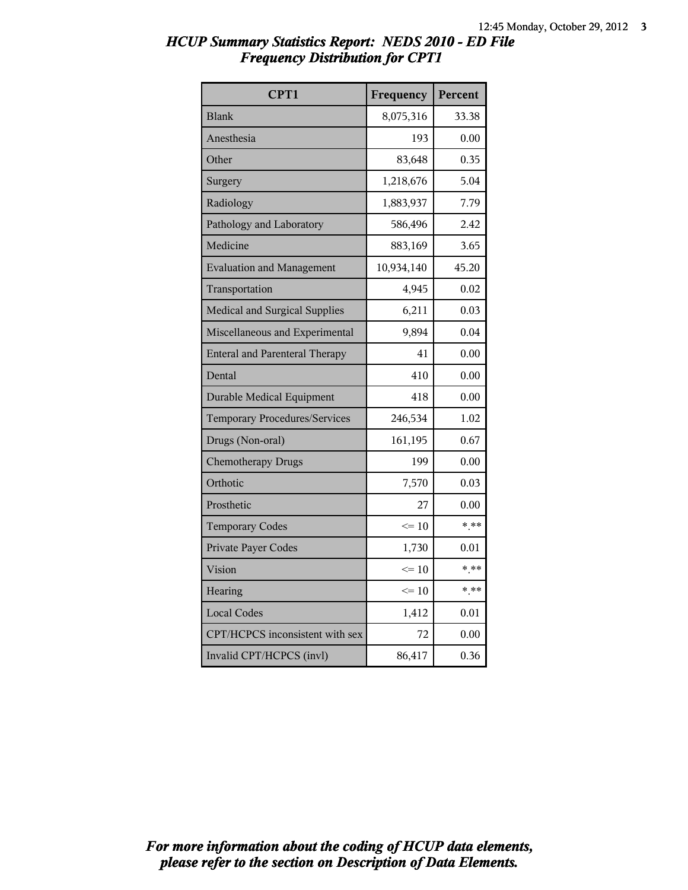| CPT1                                  | Frequency  | Percent |
|---------------------------------------|------------|---------|
| <b>Blank</b>                          | 8,075,316  | 33.38   |
| Anesthesia                            | 193        | 0.00    |
| Other                                 | 83,648     | 0.35    |
| Surgery                               | 1,218,676  | 5.04    |
| Radiology                             | 1,883,937  | 7.79    |
| Pathology and Laboratory              | 586,496    | 2.42    |
| Medicine                              | 883,169    | 3.65    |
| <b>Evaluation and Management</b>      | 10,934,140 | 45.20   |
| Transportation                        | 4,945      | 0.02    |
| Medical and Surgical Supplies         | 6,211      | 0.03    |
| Miscellaneous and Experimental        | 9,894      | 0.04    |
| <b>Enteral and Parenteral Therapy</b> | 41         | 0.00    |
| Dental                                | 410        | 0.00    |
| <b>Durable Medical Equipment</b>      | 418        | 0.00    |
| <b>Temporary Procedures/Services</b>  | 246,534    | 1.02    |
| Drugs (Non-oral)                      | 161,195    | 0.67    |
| <b>Chemotherapy Drugs</b>             | 199        | 0.00    |
| Orthotic                              | 7,570      | 0.03    |
| Prosthetic                            | 27         | 0.00    |
| <b>Temporary Codes</b>                | $\leq 10$  | $***$   |
| Private Payer Codes                   | 1,730      | 0.01    |
| Vision                                | $\leq 10$  | * **    |
| Hearing                               | $\leq 10$  | $*$ **  |
| <b>Local Codes</b>                    | 1,412      | 0.01    |
| CPT/HCPCS inconsistent with sex       | 72         | 0.00    |
| Invalid CPT/HCPCS (invl)              | 86,417     | 0.36    |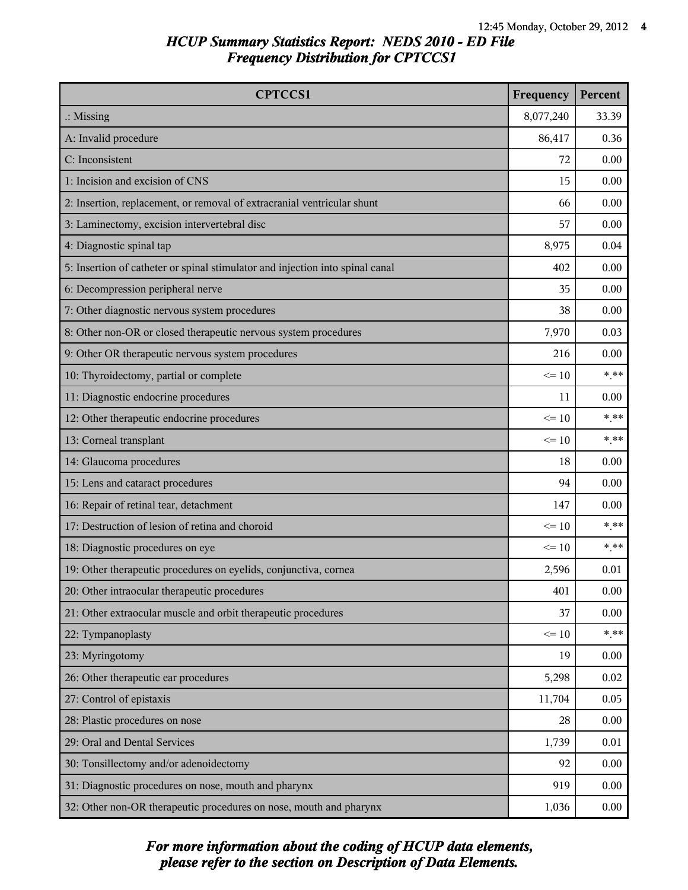| <b>CPTCCS1</b>                                                                | Frequency | Percent |
|-------------------------------------------------------------------------------|-----------|---------|
| $\therefore$ Missing                                                          | 8,077,240 | 33.39   |
| A: Invalid procedure                                                          | 86,417    | 0.36    |
| C: Inconsistent                                                               | 72        | 0.00    |
| 1: Incision and excision of CNS                                               | 15        | 0.00    |
| 2: Insertion, replacement, or removal of extracranial ventricular shunt       | 66        | 0.00    |
| 3: Laminectomy, excision intervertebral disc                                  | 57        | 0.00    |
| 4: Diagnostic spinal tap                                                      | 8,975     | 0.04    |
| 5: Insertion of catheter or spinal stimulator and injection into spinal canal | 402       | 0.00    |
| 6: Decompression peripheral nerve                                             | 35        | 0.00    |
| 7: Other diagnostic nervous system procedures                                 | 38        | 0.00    |
| 8: Other non-OR or closed therapeutic nervous system procedures               | 7,970     | 0.03    |
| 9: Other OR therapeutic nervous system procedures                             | 216       | 0.00    |
| 10: Thyroidectomy, partial or complete                                        | $\leq 10$ | $***$   |
| 11: Diagnostic endocrine procedures                                           | 11        | 0.00    |
| 12: Other therapeutic endocrine procedures                                    | $\leq 10$ | $***$   |
| 13: Corneal transplant                                                        | $\leq 10$ | $***$   |
| 14: Glaucoma procedures                                                       | 18        | 0.00    |
| 15: Lens and cataract procedures                                              | 94        | 0.00    |
| 16: Repair of retinal tear, detachment                                        | 147       | 0.00    |
| 17: Destruction of lesion of retina and choroid                               | $\leq 10$ | $***$   |
| 18: Diagnostic procedures on eye                                              | $\leq 10$ | $* * *$ |
| 19: Other therapeutic procedures on eyelids, conjunctiva, cornea              | 2,596     | 0.01    |
| 20: Other intraocular therapeutic procedures                                  | 401       | 0.00    |
| 21: Other extraocular muscle and orbit therapeutic procedures                 | 37        | 0.00    |
| 22: Tympanoplasty                                                             | $\leq 10$ | $***$   |
| 23: Myringotomy                                                               | 19        | 0.00    |
| 26: Other therapeutic ear procedures                                          | 5,298     | 0.02    |
| 27: Control of epistaxis                                                      | 11,704    | 0.05    |
| 28: Plastic procedures on nose                                                | 28        | 0.00    |
| 29: Oral and Dental Services                                                  | 1,739     | 0.01    |
| 30: Tonsillectomy and/or adenoidectomy                                        | 92        | 0.00    |
| 31: Diagnostic procedures on nose, mouth and pharynx                          | 919       | 0.00    |
| 32: Other non-OR therapeutic procedures on nose, mouth and pharynx            | 1,036     | 0.00    |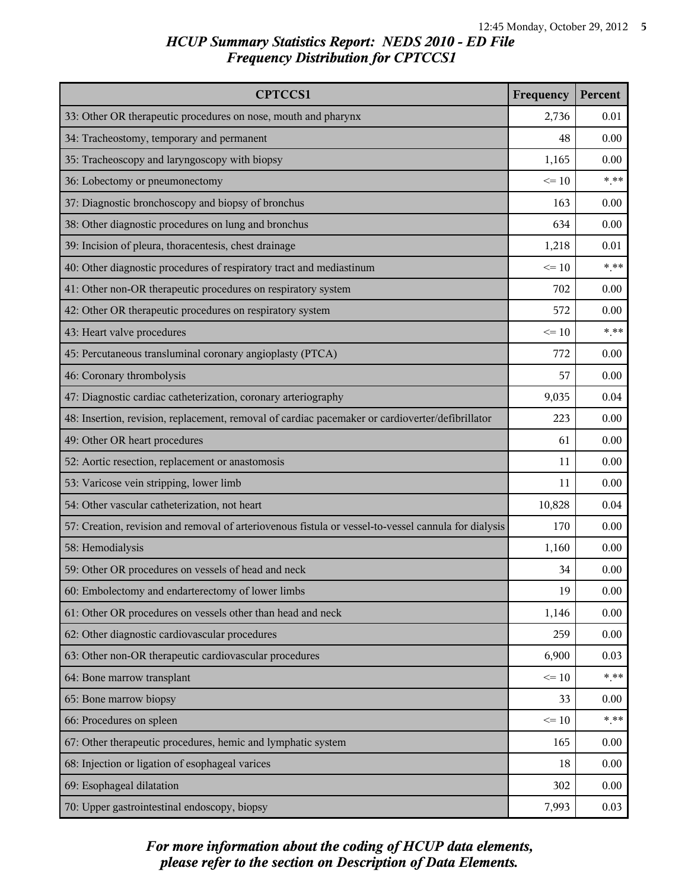| <b>CPTCCS1</b>                                                                                       | Frequency | Percent |
|------------------------------------------------------------------------------------------------------|-----------|---------|
| 33: Other OR therapeutic procedures on nose, mouth and pharynx                                       | 2,736     | 0.01    |
| 34: Tracheostomy, temporary and permanent                                                            | 48        | 0.00    |
| 35: Tracheoscopy and laryngoscopy with biopsy                                                        | 1,165     | 0.00    |
| 36: Lobectomy or pneumonectomy                                                                       | $\leq 10$ | $***$   |
| 37: Diagnostic bronchoscopy and biopsy of bronchus                                                   | 163       | 0.00    |
| 38: Other diagnostic procedures on lung and bronchus                                                 | 634       | 0.00    |
| 39: Incision of pleura, thoracentesis, chest drainage                                                | 1,218     | 0.01    |
| 40: Other diagnostic procedures of respiratory tract and mediastinum                                 | $\leq 10$ | $* * *$ |
| 41: Other non-OR therapeutic procedures on respiratory system                                        | 702       | 0.00    |
| 42: Other OR therapeutic procedures on respiratory system                                            | 572       | 0.00    |
| 43: Heart valve procedures                                                                           | $\leq 10$ | $***$   |
| 45: Percutaneous transluminal coronary angioplasty (PTCA)                                            | 772       | 0.00    |
| 46: Coronary thrombolysis                                                                            | 57        | 0.00    |
| 47: Diagnostic cardiac catheterization, coronary arteriography                                       | 9,035     | 0.04    |
| 48: Insertion, revision, replacement, removal of cardiac pacemaker or cardioverter/defibrillator     | 223       | 0.00    |
| 49: Other OR heart procedures                                                                        | 61        | 0.00    |
| 52: Aortic resection, replacement or anastomosis                                                     | 11        | 0.00    |
| 53: Varicose vein stripping, lower limb                                                              | 11        | 0.00    |
| 54: Other vascular catheterization, not heart                                                        | 10,828    | 0.04    |
| 57: Creation, revision and removal of arteriovenous fistula or vessel-to-vessel cannula for dialysis | 170       | 0.00    |
| 58: Hemodialysis                                                                                     | 1,160     | 0.00    |
| 59: Other OR procedures on vessels of head and neck                                                  | 34        | 0.00    |
| 60: Embolectomy and endarterectomy of lower limbs                                                    | 19        | 0.00    |
| 61: Other OR procedures on vessels other than head and neck                                          | 1,146     | 0.00    |
| 62: Other diagnostic cardiovascular procedures                                                       | 259       | 0.00    |
| 63: Other non-OR therapeutic cardiovascular procedures                                               | 6,900     | 0.03    |
| 64: Bone marrow transplant                                                                           | $\leq 10$ | $***$   |
| 65: Bone marrow biopsy                                                                               | 33        | 0.00    |
| 66: Procedures on spleen                                                                             | $\leq 10$ | $***$   |
| 67: Other therapeutic procedures, hemic and lymphatic system                                         | 165       | 0.00    |
| 68: Injection or ligation of esophageal varices                                                      | 18        | 0.00    |
| 69: Esophageal dilatation                                                                            | 302       | 0.00    |
| 70: Upper gastrointestinal endoscopy, biopsy                                                         | 7,993     | 0.03    |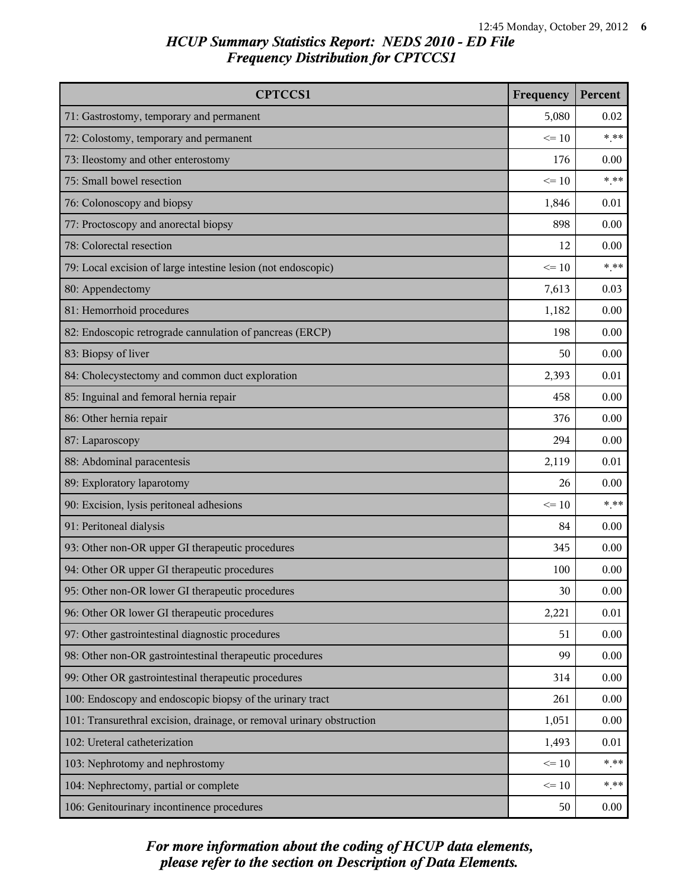| <b>CPTCCS1</b>                                                        | Frequency | Percent |
|-----------------------------------------------------------------------|-----------|---------|
| 71: Gastrostomy, temporary and permanent                              | 5,080     | 0.02    |
| 72: Colostomy, temporary and permanent                                | $\leq 10$ | $***$   |
| 73: Ileostomy and other enterostomy                                   | 176       | 0.00    |
| 75: Small bowel resection                                             | $\leq 10$ | $***$   |
| 76: Colonoscopy and biopsy                                            | 1,846     | 0.01    |
| 77: Proctoscopy and anorectal biopsy                                  | 898       | 0.00    |
| 78: Colorectal resection                                              | 12        | 0.00    |
| 79: Local excision of large intestine lesion (not endoscopic)         | $\leq 10$ | $***$   |
| 80: Appendectomy                                                      | 7,613     | 0.03    |
| 81: Hemorrhoid procedures                                             | 1,182     | 0.00    |
| 82: Endoscopic retrograde cannulation of pancreas (ERCP)              | 198       | 0.00    |
| 83: Biopsy of liver                                                   | 50        | 0.00    |
| 84: Cholecystectomy and common duct exploration                       | 2,393     | 0.01    |
| 85: Inguinal and femoral hernia repair                                | 458       | 0.00    |
| 86: Other hernia repair                                               | 376       | 0.00    |
| 87: Laparoscopy                                                       | 294       | 0.00    |
| 88: Abdominal paracentesis                                            | 2,119     | 0.01    |
| 89: Exploratory laparotomy                                            | 26        | 0.00    |
| 90: Excision, lysis peritoneal adhesions                              | $\leq 10$ | $***$   |
| 91: Peritoneal dialysis                                               | 84        | 0.00    |
| 93: Other non-OR upper GI therapeutic procedures                      | 345       | 0.00    |
| 94: Other OR upper GI therapeutic procedures                          | 100       | 0.00    |
| 95: Other non-OR lower GI therapeutic procedures                      | 30        | 0.00    |
| 96: Other OR lower GI therapeutic procedures                          | 2,221     | 0.01    |
| 97: Other gastrointestinal diagnostic procedures                      | 51        | 0.00    |
| 98: Other non-OR gastrointestinal therapeutic procedures              | 99        | 0.00    |
| 99: Other OR gastrointestinal therapeutic procedures                  | 314       | 0.00    |
| 100: Endoscopy and endoscopic biopsy of the urinary tract             | 261       | 0.00    |
| 101: Transurethral excision, drainage, or removal urinary obstruction | 1,051     | 0.00    |
| 102: Ureteral catheterization                                         | 1,493     | 0.01    |
| 103: Nephrotomy and nephrostomy                                       | $\leq 10$ | $***$   |
| 104: Nephrectomy, partial or complete                                 | $\leq 10$ | $* * *$ |
| 106: Genitourinary incontinence procedures                            | 50        | 0.00    |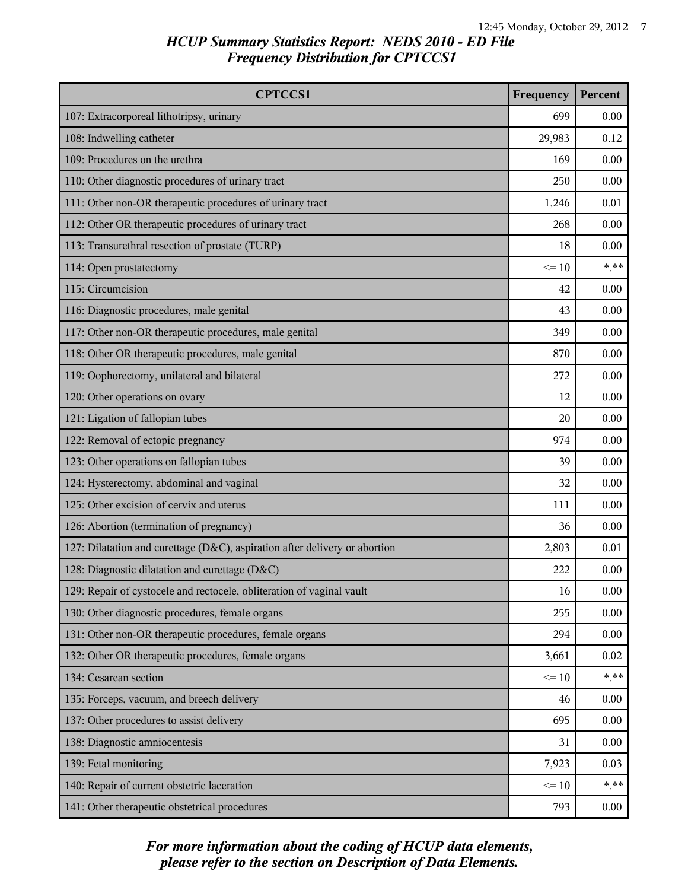| <b>CPTCCS1</b>                                                             | Frequency | Percent |
|----------------------------------------------------------------------------|-----------|---------|
| 107: Extracorporeal lithotripsy, urinary                                   | 699       | 0.00    |
| 108: Indwelling catheter                                                   | 29,983    | 0.12    |
| 109: Procedures on the urethra                                             | 169       | 0.00    |
| 110: Other diagnostic procedures of urinary tract                          | 250       | 0.00    |
| 111: Other non-OR therapeutic procedures of urinary tract                  | 1,246     | 0.01    |
| 112: Other OR therapeutic procedures of urinary tract                      | 268       | 0.00    |
| 113: Transurethral resection of prostate (TURP)                            | 18        | 0.00    |
| 114: Open prostatectomy                                                    | $\leq 10$ | $***$   |
| 115: Circumcision                                                          | 42        | 0.00    |
| 116: Diagnostic procedures, male genital                                   | 43        | 0.00    |
| 117: Other non-OR therapeutic procedures, male genital                     | 349       | 0.00    |
| 118: Other OR therapeutic procedures, male genital                         | 870       | 0.00    |
| 119: Oophorectomy, unilateral and bilateral                                | 272       | 0.00    |
| 120: Other operations on ovary                                             | 12        | 0.00    |
| 121: Ligation of fallopian tubes                                           | 20        | 0.00    |
| 122: Removal of ectopic pregnancy                                          | 974       | 0.00    |
| 123: Other operations on fallopian tubes                                   | 39        | 0.00    |
| 124: Hysterectomy, abdominal and vaginal                                   | 32        | 0.00    |
| 125: Other excision of cervix and uterus                                   | 111       | 0.00    |
| 126: Abortion (termination of pregnancy)                                   | 36        | 0.00    |
| 127: Dilatation and curettage (D&C), aspiration after delivery or abortion | 2,803     | 0.01    |
| 128: Diagnostic dilatation and curettage (D&C)                             | 222       | 0.00    |
| 129: Repair of cystocele and rectocele, obliteration of vaginal vault      | 16        | 0.00    |
| 130: Other diagnostic procedures, female organs                            | 255       | 0.00    |
| 131: Other non-OR therapeutic procedures, female organs                    | 294       | 0.00    |
| 132: Other OR therapeutic procedures, female organs                        | 3,661     | 0.02    |
| 134: Cesarean section                                                      | $\leq 10$ | $***$   |
| 135: Forceps, vacuum, and breech delivery                                  | 46        | 0.00    |
| 137: Other procedures to assist delivery                                   | 695       | 0.00    |
| 138: Diagnostic amniocentesis                                              | 31        | 0.00    |
| 139: Fetal monitoring                                                      | 7,923     | 0.03    |
| 140: Repair of current obstetric laceration                                | $\leq 10$ | $***$   |
| 141: Other therapeutic obstetrical procedures                              | 793       | 0.00    |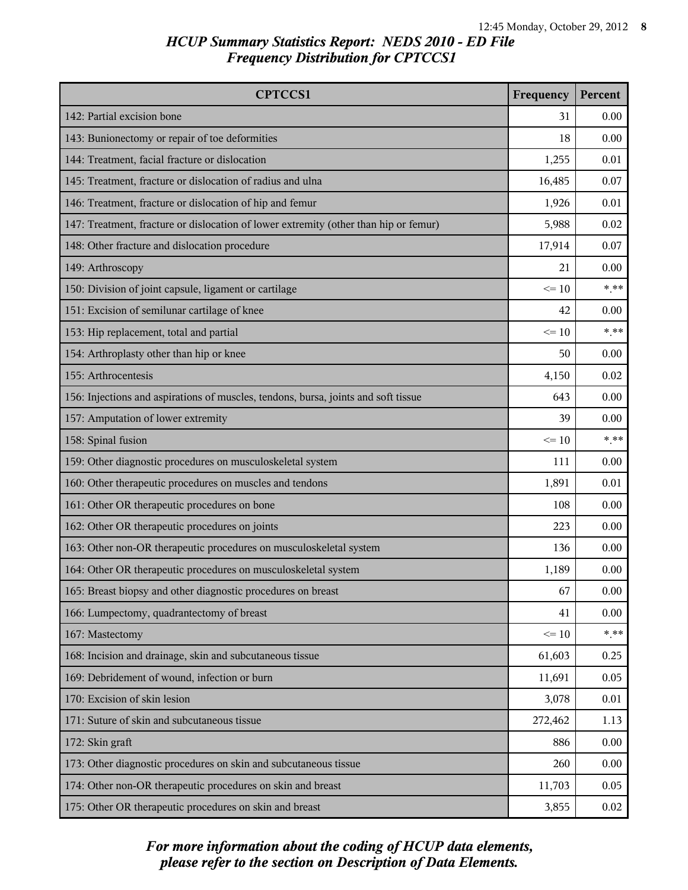| <b>CPTCCS1</b>                                                                       | Frequency | Percent |
|--------------------------------------------------------------------------------------|-----------|---------|
| 142: Partial excision bone                                                           | 31        | 0.00    |
| 143: Bunionectomy or repair of toe deformities                                       | 18        | 0.00    |
| 144: Treatment, facial fracture or dislocation                                       | 1,255     | 0.01    |
| 145: Treatment, fracture or dislocation of radius and ulna                           | 16,485    | 0.07    |
| 146: Treatment, fracture or dislocation of hip and femur                             | 1,926     | 0.01    |
| 147: Treatment, fracture or dislocation of lower extremity (other than hip or femur) | 5,988     | 0.02    |
| 148: Other fracture and dislocation procedure                                        | 17,914    | 0.07    |
| 149: Arthroscopy                                                                     | 21        | 0.00    |
| 150: Division of joint capsule, ligament or cartilage                                | $\leq 10$ | $***$   |
| 151: Excision of semilunar cartilage of knee                                         | 42        | 0.00    |
| 153: Hip replacement, total and partial                                              | $\leq 10$ | $***$   |
| 154: Arthroplasty other than hip or knee                                             | 50        | 0.00    |
| 155: Arthrocentesis                                                                  | 4,150     | 0.02    |
| 156: Injections and aspirations of muscles, tendons, bursa, joints and soft tissue   | 643       | 0.00    |
| 157: Amputation of lower extremity                                                   | 39        | 0.00    |
| 158: Spinal fusion                                                                   | $\leq 10$ | $***$   |
| 159: Other diagnostic procedures on musculoskeletal system                           | 111       | 0.00    |
| 160: Other therapeutic procedures on muscles and tendons                             | 1,891     | 0.01    |
| 161: Other OR therapeutic procedures on bone                                         | 108       | 0.00    |
| 162: Other OR therapeutic procedures on joints                                       | 223       | 0.00    |
| 163: Other non-OR therapeutic procedures on musculoskeletal system                   | 136       | 0.00    |
| 164: Other OR therapeutic procedures on musculoskeletal system                       | 1,189     | 0.00    |
| 165: Breast biopsy and other diagnostic procedures on breast                         | 67        | 0.00    |
| 166: Lumpectomy, quadrantectomy of breast                                            | 41        | 0.00    |
| 167: Mastectomy                                                                      | $\leq 10$ | $* * *$ |
| 168: Incision and drainage, skin and subcutaneous tissue                             | 61,603    | 0.25    |
| 169: Debridement of wound, infection or burn                                         | 11,691    | 0.05    |
| 170: Excision of skin lesion                                                         | 3,078     | 0.01    |
| 171: Suture of skin and subcutaneous tissue                                          | 272,462   | 1.13    |
| 172: Skin graft                                                                      | 886       | 0.00    |
| 173: Other diagnostic procedures on skin and subcutaneous tissue                     | 260       | 0.00    |
| 174: Other non-OR therapeutic procedures on skin and breast                          | 11,703    | 0.05    |
| 175: Other OR therapeutic procedures on skin and breast                              | 3,855     | 0.02    |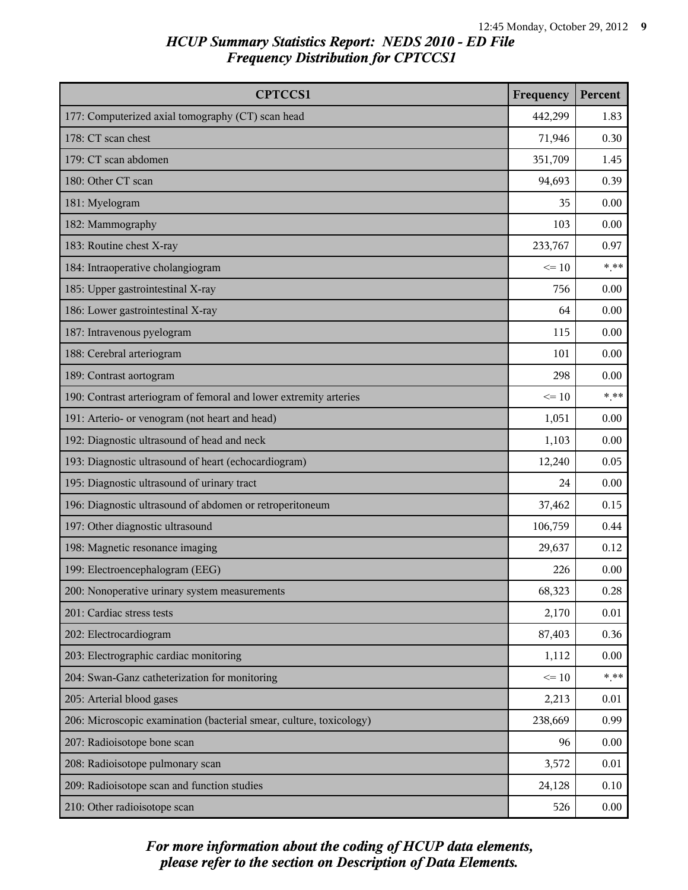| <b>CPTCCS1</b>                                                      | Frequency | Percent |
|---------------------------------------------------------------------|-----------|---------|
| 177: Computerized axial tomography (CT) scan head                   | 442,299   | 1.83    |
| 178: CT scan chest                                                  | 71,946    | 0.30    |
| 179: CT scan abdomen                                                | 351,709   | 1.45    |
| 180: Other CT scan                                                  | 94,693    | 0.39    |
| 181: Myelogram                                                      | 35        | 0.00    |
| 182: Mammography                                                    | 103       | 0.00    |
| 183: Routine chest X-ray                                            | 233,767   | 0.97    |
| 184: Intraoperative cholangiogram                                   | $\leq 10$ | $***$   |
| 185: Upper gastrointestinal X-ray                                   | 756       | 0.00    |
| 186: Lower gastrointestinal X-ray                                   | 64        | 0.00    |
| 187: Intravenous pyelogram                                          | 115       | 0.00    |
| 188: Cerebral arteriogram                                           | 101       | 0.00    |
| 189: Contrast aortogram                                             | 298       | 0.00    |
| 190: Contrast arteriogram of femoral and lower extremity arteries   | $\leq 10$ | $***$   |
| 191: Arterio- or venogram (not heart and head)                      | 1,051     | 0.00    |
| 192: Diagnostic ultrasound of head and neck                         | 1,103     | 0.00    |
| 193: Diagnostic ultrasound of heart (echocardiogram)                | 12,240    | 0.05    |
| 195: Diagnostic ultrasound of urinary tract                         | 24        | 0.00    |
| 196: Diagnostic ultrasound of abdomen or retroperitoneum            | 37,462    | 0.15    |
| 197: Other diagnostic ultrasound                                    | 106,759   | 0.44    |
| 198: Magnetic resonance imaging                                     | 29,637    | 0.12    |
| 199: Electroencephalogram (EEG)                                     | 226       | 0.00    |
| 200: Nonoperative urinary system measurements                       | 68,323    | 0.28    |
| 201: Cardiac stress tests                                           | 2,170     | 0.01    |
| 202: Electrocardiogram                                              | 87,403    | 0.36    |
| 203: Electrographic cardiac monitoring                              | 1,112     | 0.00    |
| 204: Swan-Ganz catheterization for monitoring                       | $\leq 10$ | $***$   |
| 205: Arterial blood gases                                           | 2,213     | 0.01    |
| 206: Microscopic examination (bacterial smear, culture, toxicology) | 238,669   | 0.99    |
| 207: Radioisotope bone scan                                         | 96        | 0.00    |
| 208: Radioisotope pulmonary scan                                    | 3,572     | 0.01    |
| 209: Radioisotope scan and function studies                         | 24,128    | 0.10    |
| 210: Other radioisotope scan                                        | 526       | 0.00    |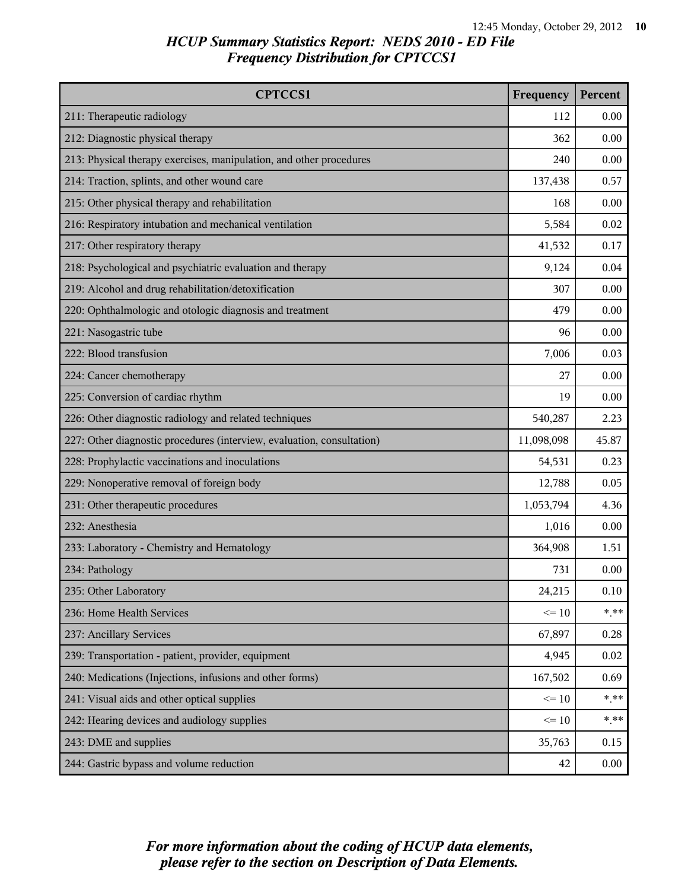| <b>CPTCCS1</b>                                                         | Frequency  | Percent |
|------------------------------------------------------------------------|------------|---------|
| 211: Therapeutic radiology                                             | 112        | 0.00    |
| 212: Diagnostic physical therapy                                       | 362        | 0.00    |
| 213: Physical therapy exercises, manipulation, and other procedures    | 240        | 0.00    |
| 214: Traction, splints, and other wound care                           | 137,438    | 0.57    |
| 215: Other physical therapy and rehabilitation                         | 168        | 0.00    |
| 216: Respiratory intubation and mechanical ventilation                 | 5,584      | 0.02    |
| 217: Other respiratory therapy                                         | 41,532     | 0.17    |
| 218: Psychological and psychiatric evaluation and therapy              | 9,124      | 0.04    |
| 219: Alcohol and drug rehabilitation/detoxification                    | 307        | 0.00    |
| 220: Ophthalmologic and otologic diagnosis and treatment               | 479        | 0.00    |
| 221: Nasogastric tube                                                  | 96         | 0.00    |
| 222: Blood transfusion                                                 | 7,006      | 0.03    |
| 224: Cancer chemotherapy                                               | 27         | 0.00    |
| 225: Conversion of cardiac rhythm                                      | 19         | 0.00    |
| 226: Other diagnostic radiology and related techniques                 | 540,287    | 2.23    |
| 227: Other diagnostic procedures (interview, evaluation, consultation) | 11,098,098 | 45.87   |
| 228: Prophylactic vaccinations and inoculations                        | 54,531     | 0.23    |
| 229: Nonoperative removal of foreign body                              | 12,788     | 0.05    |
| 231: Other therapeutic procedures                                      | 1,053,794  | 4.36    |
| 232: Anesthesia                                                        | 1,016      | 0.00    |
| 233: Laboratory - Chemistry and Hematology                             | 364,908    | 1.51    |
| 234: Pathology                                                         | 731        | 0.00    |
| 235: Other Laboratory                                                  | 24,215     | 0.10    |
| 236: Home Health Services                                              | $\leq 10$  | $*$ **  |
| 237: Ancillary Services                                                | 67,897     | 0.28    |
| 239: Transportation - patient, provider, equipment                     | 4,945      | 0.02    |
| 240: Medications (Injections, infusions and other forms)               | 167,502    | 0.69    |
| 241: Visual aids and other optical supplies                            | $\leq 10$  | $***$   |
| 242: Hearing devices and audiology supplies                            | $\leq 10$  | $***$   |
| 243: DME and supplies                                                  | 35,763     | 0.15    |
| 244: Gastric bypass and volume reduction                               | 42         | 0.00    |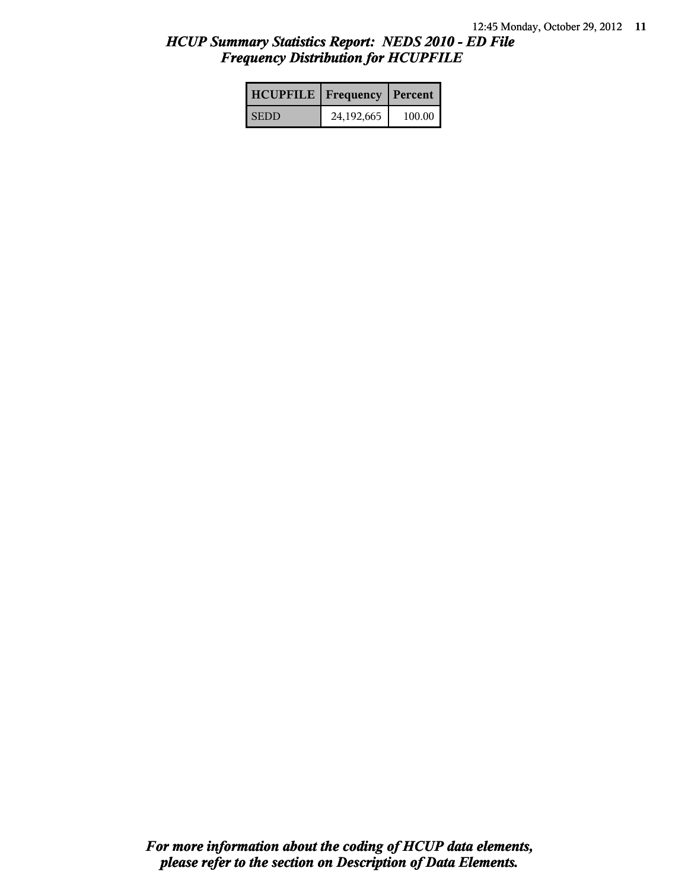| <b>HCUPFILE   Frequency   Percent  </b> |            |        |
|-----------------------------------------|------------|--------|
| <b>SEDD</b>                             | 24,192,665 | 100.00 |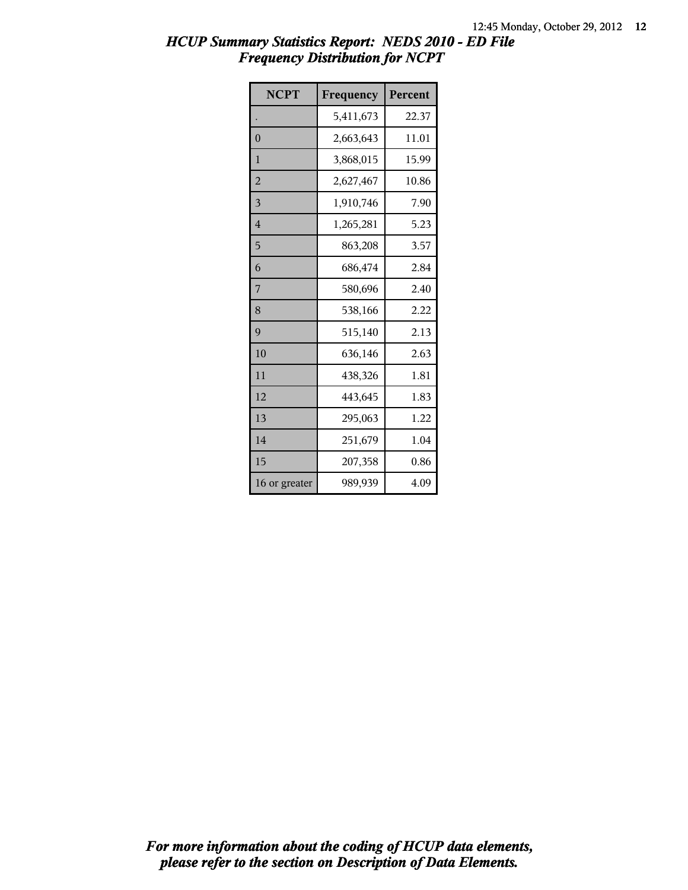| <b>NCPT</b>    | Frequency | Percent |
|----------------|-----------|---------|
|                | 5,411,673 | 22.37   |
| $\overline{0}$ | 2,663,643 | 11.01   |
| 1              | 3,868,015 | 15.99   |
| $\overline{2}$ | 2,627,467 | 10.86   |
| 3              | 1,910,746 | 7.90    |
| $\overline{4}$ | 1,265,281 | 5.23    |
| 5              | 863,208   | 3.57    |
| 6              | 686,474   | 2.84    |
| 7              | 580,696   | 2.40    |
| 8              | 538,166   | 2.22    |
| 9              | 515,140   | 2.13    |
| 10             | 636,146   | 2.63    |
| 11             | 438,326   | 1.81    |
| 12             | 443,645   | 1.83    |
| 13             | 295,063   | 1.22    |
| 14             | 251,679   | 1.04    |
| 15             | 207,358   | 0.86    |
| 16 or greater  | 989,939   | 4.09    |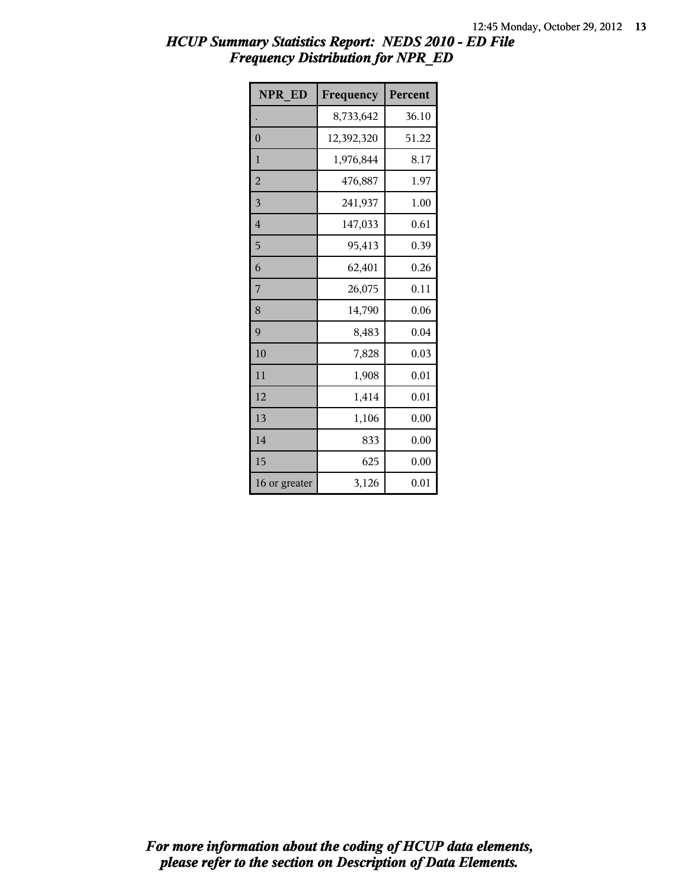| <b>NPR ED</b>  | Frequency  | Percent |
|----------------|------------|---------|
|                | 8,733,642  | 36.10   |
| $\overline{0}$ | 12,392,320 | 51.22   |
| 1              | 1,976,844  | 8.17    |
| $\overline{2}$ | 476,887    | 1.97    |
| 3              | 241,937    | 1.00    |
| $\overline{4}$ | 147,033    | 0.61    |
| 5              | 95,413     | 0.39    |
| 6              | 62,401     | 0.26    |
| 7              | 26,075     | 0.11    |
| 8              | 14,790     | 0.06    |
| 9              | 8,483      | 0.04    |
| 10             | 7,828      | 0.03    |
| 11             | 1,908      | 0.01    |
| 12             | 1,414      | 0.01    |
| 13             | 1,106      | 0.00    |
| 14             | 833        | 0.00    |
| 15             | 625        | 0.00    |
| 16 or greater  | 3,126      | 0.01    |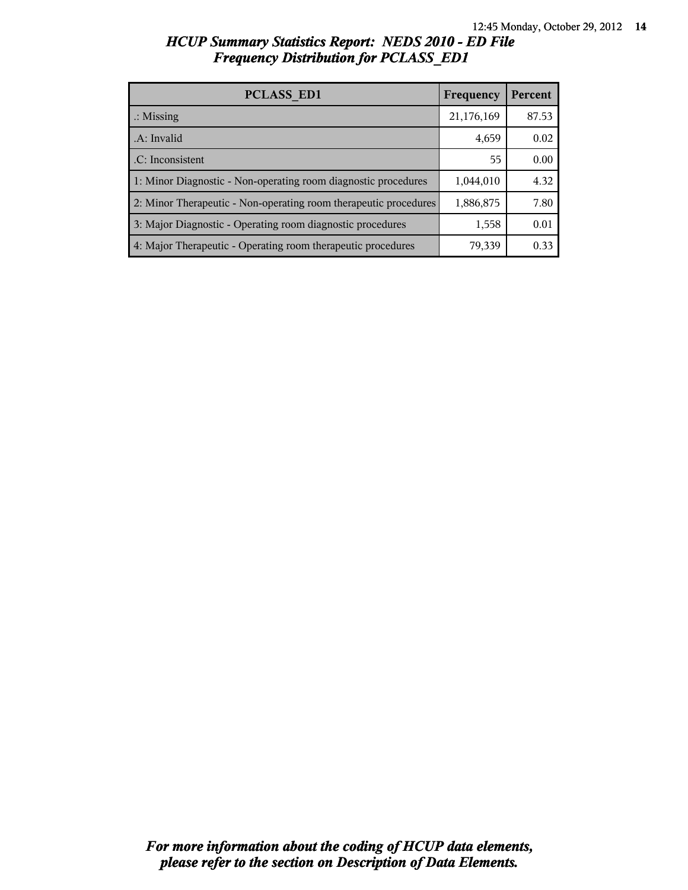| <b>PCLASS ED1</b>                                                | Frequency  | Percent |
|------------------------------------------------------------------|------------|---------|
| $\therefore$ Missing                                             | 21,176,169 | 87.53   |
| .A: Invalid                                                      | 4,659      | 0.02    |
| .C: Inconsistent                                                 | 55         | 0.00    |
| 1: Minor Diagnostic - Non-operating room diagnostic procedures   | 1,044,010  | 4.32    |
| 2: Minor Therapeutic - Non-operating room therapeutic procedures | 1,886,875  | 7.80    |
| 3: Major Diagnostic - Operating room diagnostic procedures       | 1,558      | 0.01    |
| 4: Major Therapeutic - Operating room therapeutic procedures     | 79,339     | 0.33    |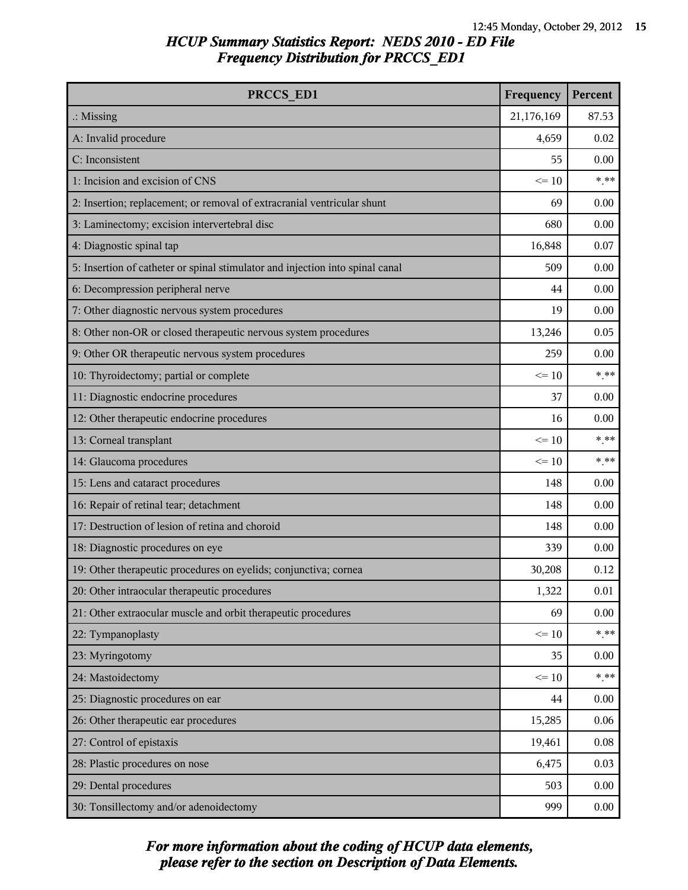| PRCCS ED1                                                                     | Frequency  | Percent |
|-------------------------------------------------------------------------------|------------|---------|
| $\therefore$ Missing                                                          | 21,176,169 | 87.53   |
| A: Invalid procedure                                                          | 4,659      | 0.02    |
| C: Inconsistent                                                               | 55         | 0.00    |
| 1: Incision and excision of CNS                                               | $\leq 10$  | $***$   |
| 2: Insertion; replacement; or removal of extracranial ventricular shunt       | 69         | 0.00    |
| 3: Laminectomy; excision intervertebral disc                                  | 680        | 0.00    |
| 4: Diagnostic spinal tap                                                      | 16,848     | 0.07    |
| 5: Insertion of catheter or spinal stimulator and injection into spinal canal | 509        | 0.00    |
| 6: Decompression peripheral nerve                                             | 44         | 0.00    |
| 7: Other diagnostic nervous system procedures                                 | 19         | 0.00    |
| 8: Other non-OR or closed therapeutic nervous system procedures               | 13,246     | 0.05    |
| 9: Other OR therapeutic nervous system procedures                             | 259        | 0.00    |
| 10: Thyroidectomy; partial or complete                                        | $\leq 10$  | $***$   |
| 11: Diagnostic endocrine procedures                                           | 37         | 0.00    |
| 12: Other therapeutic endocrine procedures                                    | 16         | 0.00    |
| 13: Corneal transplant                                                        | $\leq 10$  | $* * *$ |
| 14: Glaucoma procedures                                                       | $\leq 10$  | $***$   |
| 15: Lens and cataract procedures                                              | 148        | 0.00    |
| 16: Repair of retinal tear; detachment                                        | 148        | 0.00    |
| 17: Destruction of lesion of retina and choroid                               | 148        | 0.00    |
| 18: Diagnostic procedures on eye                                              | 339        | 0.00    |
| 19: Other therapeutic procedures on eyelids; conjunctiva; cornea              | 30,208     | 0.12    |
| 20: Other intraocular therapeutic procedures                                  | 1,322      | 0.01    |
| 21: Other extraocular muscle and orbit therapeutic procedures                 | 69         | 0.00    |
| 22: Tympanoplasty                                                             | $\leq 10$  | $***$   |
| 23: Myringotomy                                                               | 35         | 0.00    |
| 24: Mastoidectomy                                                             | $\leq 10$  | $* * *$ |
| 25: Diagnostic procedures on ear                                              | 44         | 0.00    |
| 26: Other therapeutic ear procedures                                          | 15,285     | 0.06    |
| 27: Control of epistaxis                                                      | 19,461     | 0.08    |
| 28: Plastic procedures on nose                                                | 6,475      | 0.03    |
| 29: Dental procedures                                                         | 503        | 0.00    |
| 30: Tonsillectomy and/or adenoidectomy                                        | 999        | 0.00    |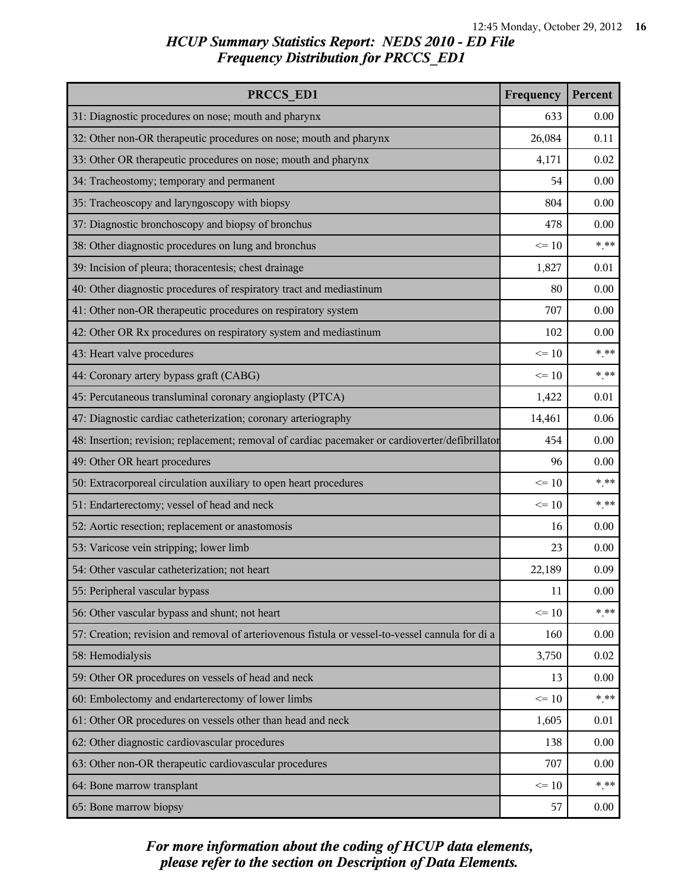| PRCCS ED1                                                                                        |           | Percent |
|--------------------------------------------------------------------------------------------------|-----------|---------|
| 31: Diagnostic procedures on nose; mouth and pharynx                                             | 633       | 0.00    |
| 32: Other non-OR therapeutic procedures on nose; mouth and pharynx                               | 26,084    | 0.11    |
| 33: Other OR therapeutic procedures on nose; mouth and pharynx                                   | 4,171     | 0.02    |
| 34: Tracheostomy; temporary and permanent                                                        | 54        | 0.00    |
| 35: Tracheoscopy and laryngoscopy with biopsy                                                    | 804       | 0.00    |
| 37: Diagnostic bronchoscopy and biopsy of bronchus                                               | 478       | 0.00    |
| 38: Other diagnostic procedures on lung and bronchus                                             | $\leq 10$ | $***$   |
| 39: Incision of pleura; thoracentesis; chest drainage                                            | 1,827     | 0.01    |
| 40: Other diagnostic procedures of respiratory tract and mediastinum                             | 80        | 0.00    |
| 41: Other non-OR therapeutic procedures on respiratory system                                    | 707       | 0.00    |
| 42: Other OR Rx procedures on respiratory system and mediastinum                                 | 102       | 0.00    |
| 43: Heart valve procedures                                                                       | $\leq 10$ | $***$   |
| 44: Coronary artery bypass graft (CABG)                                                          | $\leq 10$ | $***$   |
| 45: Percutaneous transluminal coronary angioplasty (PTCA)                                        | 1,422     | 0.01    |
| 47: Diagnostic cardiac catheterization; coronary arteriography                                   | 14,461    | 0.06    |
| 48: Insertion; revision; replacement; removal of cardiac pacemaker or cardioverter/defibrillator | 454       | 0.00    |
| 49: Other OR heart procedures                                                                    | 96        | 0.00    |
| 50: Extracorporeal circulation auxiliary to open heart procedures                                | $\leq 10$ | $***$   |
| 51: Endarterectomy; vessel of head and neck                                                      | $\leq 10$ | $***$   |
| 52: Aortic resection; replacement or anastomosis                                                 | 16        | 0.00    |
| 53: Varicose vein stripping; lower limb                                                          | 23        | 0.00    |
| 54: Other vascular catheterization; not heart                                                    | 22,189    | 0.09    |
| 55: Peripheral vascular bypass                                                                   | 11        | 0.00    |
| 56: Other vascular bypass and shunt; not heart                                                   | $\leq 10$ | $***$   |
| 57: Creation; revision and removal of arteriovenous fistula or vessel-to-vessel cannula for di a | 160       | 0.00    |
| 58: Hemodialysis                                                                                 | 3,750     | 0.02    |
| 59: Other OR procedures on vessels of head and neck                                              | 13        | 0.00    |
| 60: Embolectomy and endarterectomy of lower limbs                                                | $\leq 10$ | $***$   |
| 61: Other OR procedures on vessels other than head and neck                                      | 1,605     | 0.01    |
| 62: Other diagnostic cardiovascular procedures                                                   | 138       | 0.00    |
| 63: Other non-OR therapeutic cardiovascular procedures                                           | 707       | 0.00    |
| 64: Bone marrow transplant                                                                       | $\leq 10$ | $***$   |
| 65: Bone marrow biopsy                                                                           | 57        | 0.00    |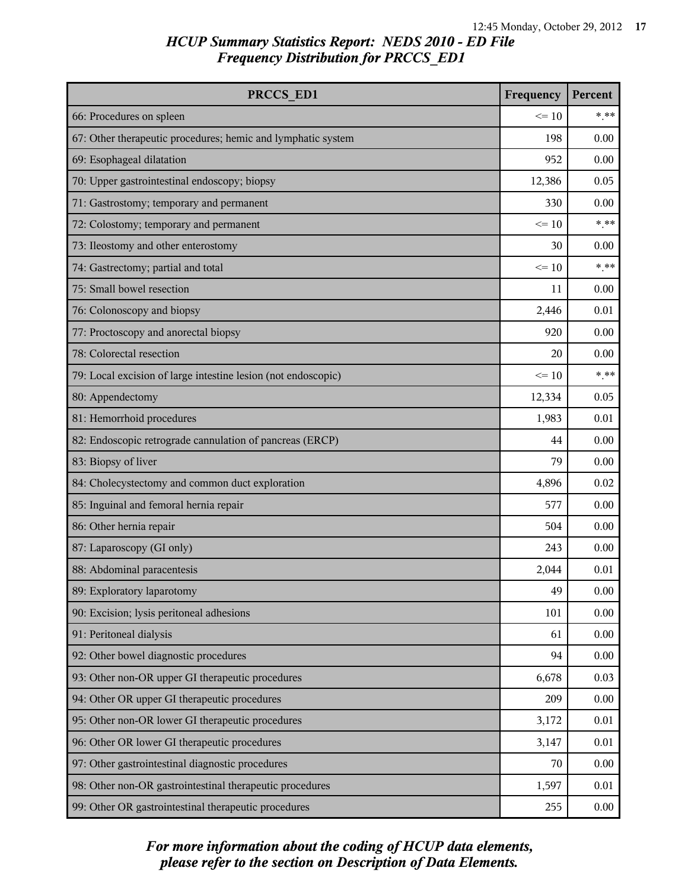| PRCCS ED1                                                     | Frequency | Percent |
|---------------------------------------------------------------|-----------|---------|
| 66: Procedures on spleen                                      | $\leq 10$ | $***$   |
| 67: Other therapeutic procedures; hemic and lymphatic system  | 198       | 0.00    |
| 69: Esophageal dilatation                                     | 952       | 0.00    |
| 70: Upper gastrointestinal endoscopy; biopsy                  | 12,386    | 0.05    |
| 71: Gastrostomy; temporary and permanent                      | 330       | 0.00    |
| 72: Colostomy; temporary and permanent                        | $\leq 10$ | $***$   |
| 73: Ileostomy and other enterostomy                           | 30        | 0.00    |
| 74: Gastrectomy; partial and total                            | $\leq 10$ | $***$   |
| 75: Small bowel resection                                     | 11        | 0.00    |
| 76: Colonoscopy and biopsy                                    | 2,446     | 0.01    |
| 77: Proctoscopy and anorectal biopsy                          | 920       | 0.00    |
| 78: Colorectal resection                                      | 20        | 0.00    |
| 79: Local excision of large intestine lesion (not endoscopic) | $\leq 10$ | $***$   |
| 80: Appendectomy                                              | 12,334    | 0.05    |
| 81: Hemorrhoid procedures                                     | 1,983     | 0.01    |
| 82: Endoscopic retrograde cannulation of pancreas (ERCP)      | 44        | 0.00    |
| 83: Biopsy of liver                                           | 79        | 0.00    |
| 84: Cholecystectomy and common duct exploration               | 4,896     | 0.02    |
| 85: Inguinal and femoral hernia repair                        | 577       | 0.00    |
| 86: Other hernia repair                                       | 504       | 0.00    |
| 87: Laparoscopy (GI only)                                     | 243       | 0.00    |
| 88: Abdominal paracentesis                                    | 2,044     | 0.01    |
| 89: Exploratory laparotomy                                    | 49        | 0.00    |
| 90: Excision; lysis peritoneal adhesions                      | 101       | 0.00    |
| 91: Peritoneal dialysis                                       | 61        | 0.00    |
| 92: Other bowel diagnostic procedures                         | 94        | 0.00    |
| 93: Other non-OR upper GI therapeutic procedures              | 6,678     | 0.03    |
| 94: Other OR upper GI therapeutic procedures                  | 209       | 0.00    |
| 95: Other non-OR lower GI therapeutic procedures              | 3,172     | 0.01    |
| 96: Other OR lower GI therapeutic procedures                  | 3,147     | 0.01    |
| 97: Other gastrointestinal diagnostic procedures              | 70        | 0.00    |
| 98: Other non-OR gastrointestinal therapeutic procedures      | 1,597     | 0.01    |
| 99: Other OR gastrointestinal therapeutic procedures          | 255       | 0.00    |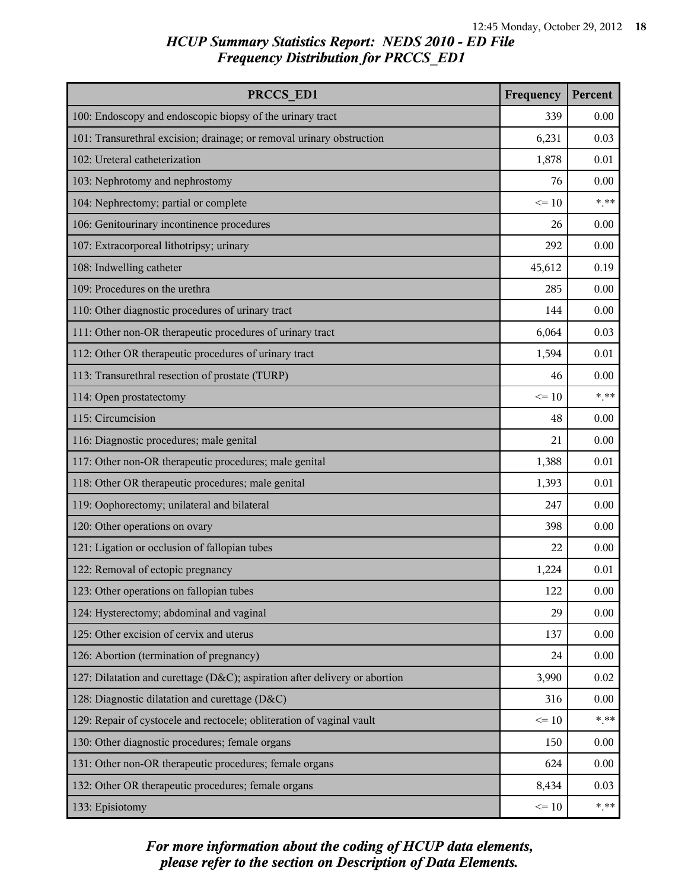| PRCCS ED1                                                                  |           | Percent |
|----------------------------------------------------------------------------|-----------|---------|
| 100: Endoscopy and endoscopic biopsy of the urinary tract                  | 339       | 0.00    |
| 101: Transurethral excision; drainage; or removal urinary obstruction      | 6,231     | 0.03    |
| 102: Ureteral catheterization                                              | 1,878     | 0.01    |
| 103: Nephrotomy and nephrostomy                                            | 76        | 0.00    |
| 104: Nephrectomy; partial or complete                                      | $\leq 10$ | $***$   |
| 106: Genitourinary incontinence procedures                                 | 26        | 0.00    |
| 107: Extracorporeal lithotripsy; urinary                                   | 292       | 0.00    |
| 108: Indwelling catheter                                                   | 45,612    | 0.19    |
| 109: Procedures on the urethra                                             | 285       | 0.00    |
| 110: Other diagnostic procedures of urinary tract                          | 144       | 0.00    |
| 111: Other non-OR therapeutic procedures of urinary tract                  | 6,064     | 0.03    |
| 112: Other OR therapeutic procedures of urinary tract                      | 1,594     | 0.01    |
| 113: Transurethral resection of prostate (TURP)                            | 46        | 0.00    |
| 114: Open prostatectomy                                                    | $\leq 10$ | $***$   |
| 115: Circumcision                                                          | 48        | 0.00    |
| 116: Diagnostic procedures; male genital                                   | 21        | 0.00    |
| 117: Other non-OR therapeutic procedures; male genital                     | 1,388     | 0.01    |
| 118: Other OR therapeutic procedures; male genital                         | 1,393     | 0.01    |
| 119: Oophorectomy; unilateral and bilateral                                | 247       | 0.00    |
| 120: Other operations on ovary                                             | 398       | 0.00    |
| 121: Ligation or occlusion of fallopian tubes                              | 22        | 0.00    |
| 122: Removal of ectopic pregnancy                                          | 1,224     | 0.01    |
| 123: Other operations on fallopian tubes                                   | 122       | 0.00    |
| 124: Hysterectomy; abdominal and vaginal                                   | 29        | 0.00    |
| 125: Other excision of cervix and uterus                                   | 137       | 0.00    |
| 126: Abortion (termination of pregnancy)                                   | 24        | 0.00    |
| 127: Dilatation and curettage (D&C); aspiration after delivery or abortion | 3,990     | 0.02    |
| 128: Diagnostic dilatation and curettage (D&C)                             | 316       | 0.00    |
| 129: Repair of cystocele and rectocele; obliteration of vaginal vault      | $\leq 10$ | $***$   |
| 130: Other diagnostic procedures; female organs                            | 150       | 0.00    |
| 131: Other non-OR therapeutic procedures; female organs                    | 624       | 0.00    |
| 132: Other OR therapeutic procedures; female organs                        | 8,434     | 0.03    |
| 133: Episiotomy                                                            | $\leq 10$ | $***$   |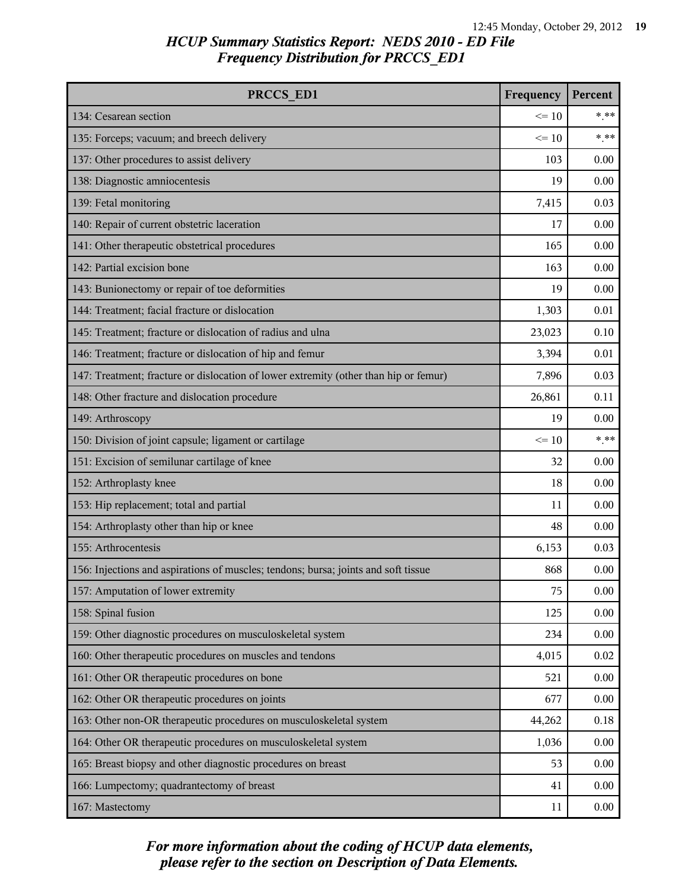| PRCCS ED1                                                                            | Frequency | Percent |
|--------------------------------------------------------------------------------------|-----------|---------|
| 134: Cesarean section                                                                | $\leq 10$ | $***$   |
| 135: Forceps; vacuum; and breech delivery                                            | $\leq$ 10 | $***$   |
| 137: Other procedures to assist delivery                                             | 103       | 0.00    |
| 138: Diagnostic amniocentesis                                                        | 19        | 0.00    |
| 139: Fetal monitoring                                                                | 7,415     | 0.03    |
| 140: Repair of current obstetric laceration                                          | 17        | 0.00    |
| 141: Other therapeutic obstetrical procedures                                        | 165       | 0.00    |
| 142: Partial excision bone                                                           | 163       | 0.00    |
| 143: Bunionectomy or repair of toe deformities                                       | 19        | 0.00    |
| 144: Treatment; facial fracture or dislocation                                       | 1,303     | 0.01    |
| 145: Treatment; fracture or dislocation of radius and ulna                           | 23,023    | 0.10    |
| 146: Treatment; fracture or dislocation of hip and femur                             | 3,394     | 0.01    |
| 147: Treatment; fracture or dislocation of lower extremity (other than hip or femur) | 7,896     | 0.03    |
| 148: Other fracture and dislocation procedure                                        | 26,861    | 0.11    |
| 149: Arthroscopy                                                                     | 19        | 0.00    |
| 150: Division of joint capsule; ligament or cartilage                                | $\leq 10$ | $***$   |
| 151: Excision of semilunar cartilage of knee                                         | 32        | 0.00    |
| 152: Arthroplasty knee                                                               | 18        | 0.00    |
| 153: Hip replacement; total and partial                                              | 11        | 0.00    |
| 154: Arthroplasty other than hip or knee                                             | 48        | 0.00    |
| 155: Arthrocentesis                                                                  | 6,153     | 0.03    |
| 156: Injections and aspirations of muscles; tendons; bursa; joints and soft tissue   | 868       | 0.00    |
| 157: Amputation of lower extremity                                                   | 75        | 0.00    |
| 158: Spinal fusion                                                                   | 125       | 0.00    |
| 159: Other diagnostic procedures on musculoskeletal system                           | 234       | 0.00    |
| 160: Other therapeutic procedures on muscles and tendons                             | 4,015     | 0.02    |
| 161: Other OR therapeutic procedures on bone                                         | 521       | 0.00    |
| 162: Other OR therapeutic procedures on joints                                       | 677       | 0.00    |
| 163: Other non-OR therapeutic procedures on musculoskeletal system                   | 44,262    | 0.18    |
| 164: Other OR therapeutic procedures on musculoskeletal system                       | 1,036     | 0.00    |
| 165: Breast biopsy and other diagnostic procedures on breast                         | 53        | 0.00    |
| 166: Lumpectomy; quadrantectomy of breast                                            | 41        | 0.00    |
| 167: Mastectomy                                                                      | 11        | 0.00    |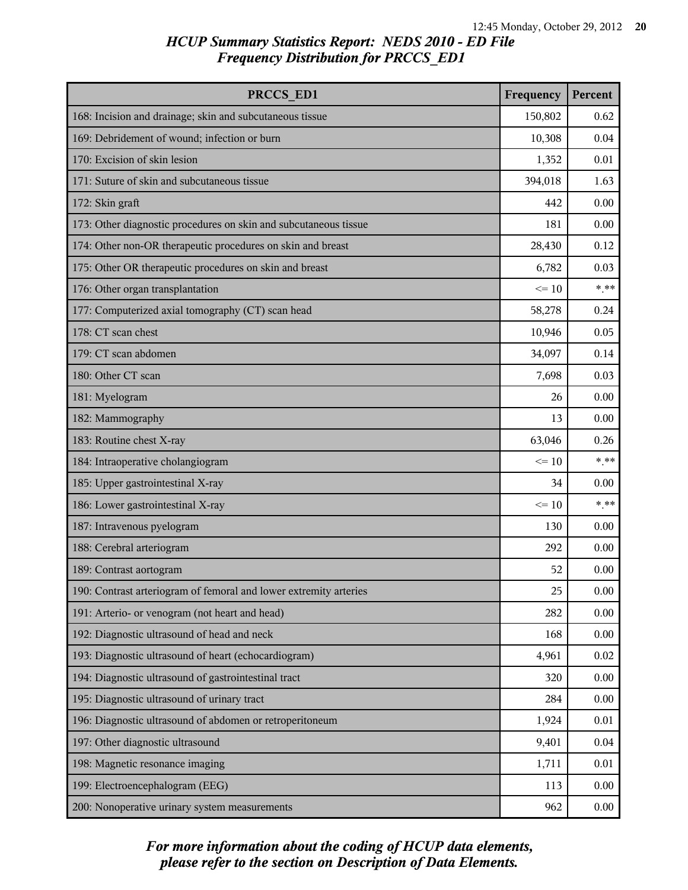| PRCCS ED1                                                         | Frequency | Percent |
|-------------------------------------------------------------------|-----------|---------|
| 168: Incision and drainage; skin and subcutaneous tissue          | 150,802   | 0.62    |
| 169: Debridement of wound; infection or burn                      | 10,308    | 0.04    |
| 170: Excision of skin lesion                                      | 1,352     | 0.01    |
| 171: Suture of skin and subcutaneous tissue                       | 394,018   | 1.63    |
| 172: Skin graft                                                   | 442       | 0.00    |
| 173: Other diagnostic procedures on skin and subcutaneous tissue  | 181       | 0.00    |
| 174: Other non-OR therapeutic procedures on skin and breast       | 28,430    | 0.12    |
| 175: Other OR therapeutic procedures on skin and breast           | 6,782     | 0.03    |
| 176: Other organ transplantation                                  | $\leq 10$ | $***$   |
| 177: Computerized axial tomography (CT) scan head                 | 58,278    | 0.24    |
| 178: CT scan chest                                                | 10,946    | 0.05    |
| 179: CT scan abdomen                                              | 34,097    | 0.14    |
| 180: Other CT scan                                                | 7,698     | 0.03    |
| 181: Myelogram                                                    | 26        | 0.00    |
| 182: Mammography                                                  | 13        | 0.00    |
| 183: Routine chest X-ray                                          | 63,046    | 0.26    |
| 184: Intraoperative cholangiogram                                 | $\leq 10$ | $***$   |
| 185: Upper gastrointestinal X-ray                                 | 34        | 0.00    |
| 186: Lower gastrointestinal X-ray                                 | $\leq 10$ | $***$   |
| 187: Intravenous pyelogram                                        | 130       | 0.00    |
| 188: Cerebral arteriogram                                         | 292       | 0.00    |
| 189: Contrast aortogram                                           | 52        | 0.00    |
| 190: Contrast arteriogram of femoral and lower extremity arteries | 25        | 0.00    |
| 191: Arterio- or venogram (not heart and head)                    | 282       | 0.00    |
| 192: Diagnostic ultrasound of head and neck                       | 168       | 0.00    |
| 193: Diagnostic ultrasound of heart (echocardiogram)              | 4,961     | 0.02    |
| 194: Diagnostic ultrasound of gastrointestinal tract              | 320       | 0.00    |
| 195: Diagnostic ultrasound of urinary tract                       | 284       | 0.00    |
| 196: Diagnostic ultrasound of abdomen or retroperitoneum          | 1,924     | 0.01    |
| 197: Other diagnostic ultrasound                                  | 9,401     | 0.04    |
| 198: Magnetic resonance imaging                                   | 1,711     | 0.01    |
| 199: Electroencephalogram (EEG)                                   | 113       | 0.00    |
| 200: Nonoperative urinary system measurements                     | 962       | 0.00    |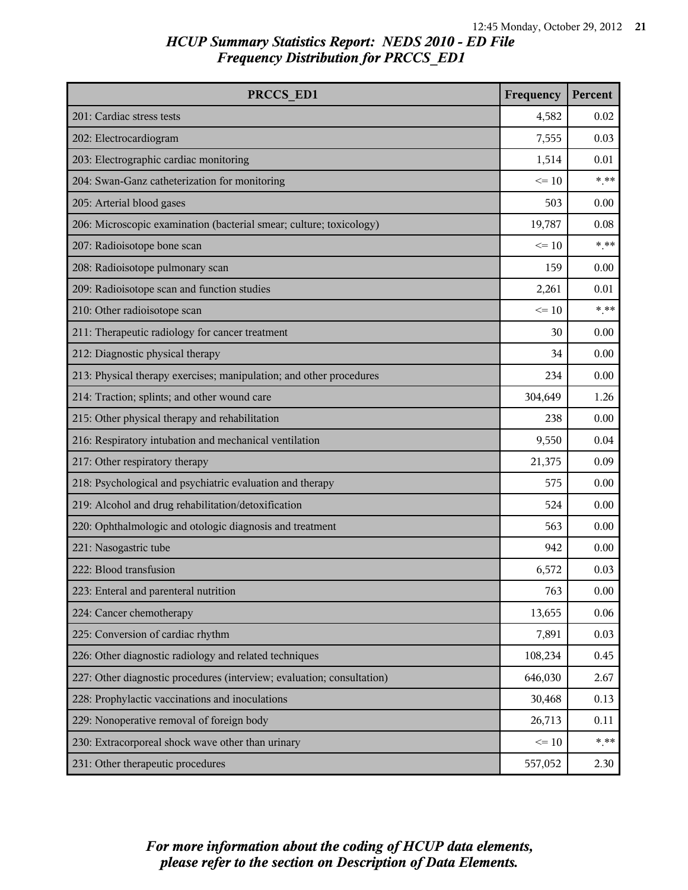| PRCCS ED1                                                              | Frequency | Percent |
|------------------------------------------------------------------------|-----------|---------|
| 201: Cardiac stress tests                                              | 4,582     | 0.02    |
| 202: Electrocardiogram                                                 | 7,555     | 0.03    |
| 203: Electrographic cardiac monitoring                                 | 1,514     | 0.01    |
| 204: Swan-Ganz catheterization for monitoring                          | $\leq 10$ | $***$   |
| 205: Arterial blood gases                                              | 503       | 0.00    |
| 206: Microscopic examination (bacterial smear; culture; toxicology)    | 19,787    | 0.08    |
| 207: Radioisotope bone scan                                            | $\leq 10$ | $***$   |
| 208: Radioisotope pulmonary scan                                       | 159       | 0.00    |
| 209: Radioisotope scan and function studies                            | 2,261     | 0.01    |
| 210: Other radioisotope scan                                           | $\leq 10$ | $***$   |
| 211: Therapeutic radiology for cancer treatment                        | 30        | 0.00    |
| 212: Diagnostic physical therapy                                       | 34        | 0.00    |
| 213: Physical therapy exercises; manipulation; and other procedures    | 234       | 0.00    |
| 214: Traction; splints; and other wound care                           | 304,649   | 1.26    |
| 215: Other physical therapy and rehabilitation                         | 238       | 0.00    |
| 216: Respiratory intubation and mechanical ventilation                 | 9,550     | 0.04    |
| 217: Other respiratory therapy                                         | 21,375    | 0.09    |
| 218: Psychological and psychiatric evaluation and therapy              | 575       | 0.00    |
| 219: Alcohol and drug rehabilitation/detoxification                    | 524       | 0.00    |
| 220: Ophthalmologic and otologic diagnosis and treatment               | 563       | 0.00    |
| 221: Nasogastric tube                                                  | 942       | 0.00    |
| 222: Blood transfusion                                                 | 6,572     | 0.03    |
| 223: Enteral and parenteral nutrition                                  | 763       | 0.00    |
| 224: Cancer chemotherapy                                               | 13,655    | 0.06    |
| 225: Conversion of cardiac rhythm                                      | 7,891     | 0.03    |
| 226: Other diagnostic radiology and related techniques                 | 108,234   | 0.45    |
| 227: Other diagnostic procedures (interview; evaluation; consultation) | 646,030   | 2.67    |
| 228: Prophylactic vaccinations and inoculations                        | 30,468    | 0.13    |
| 229: Nonoperative removal of foreign body                              | 26,713    | 0.11    |
| 230: Extracorporeal shock wave other than urinary                      | $\leq 10$ | $***$   |
| 231: Other therapeutic procedures                                      | 557,052   | 2.30    |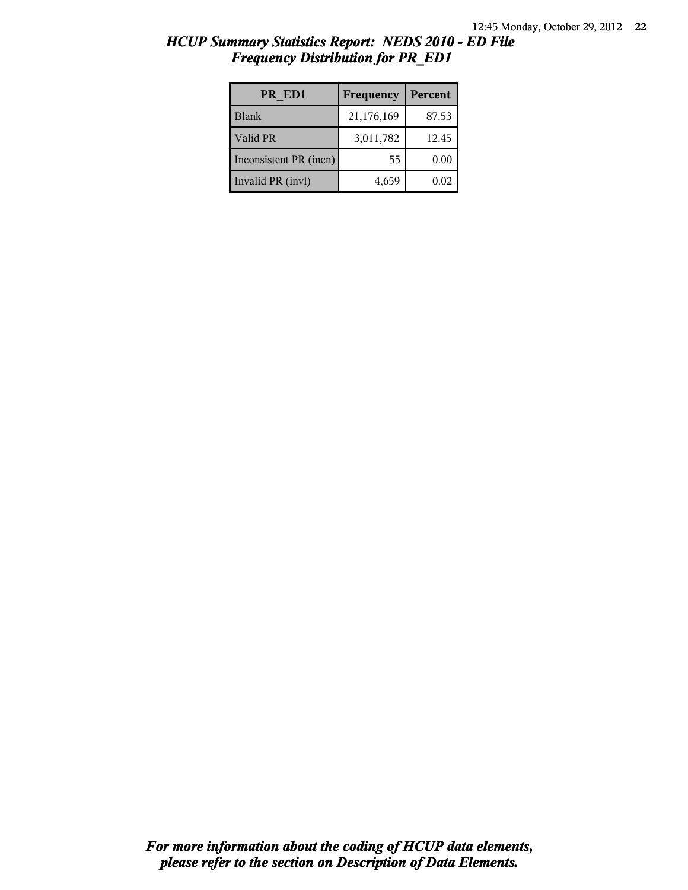| HCUP Summary Statistics Report: NEDS 2010 - ED File |  |  |
|-----------------------------------------------------|--|--|
| <b>Frequency Distribution for PR ED1</b>            |  |  |

| PR ED1                 | Frequency  | Percent |
|------------------------|------------|---------|
| <b>Blank</b>           | 21,176,169 | 87.53   |
| Valid PR               | 3,011,782  | 12.45   |
| Inconsistent PR (incn) | 55         | 0.00    |
| Invalid PR (invl)      | 4,659      | 0.02    |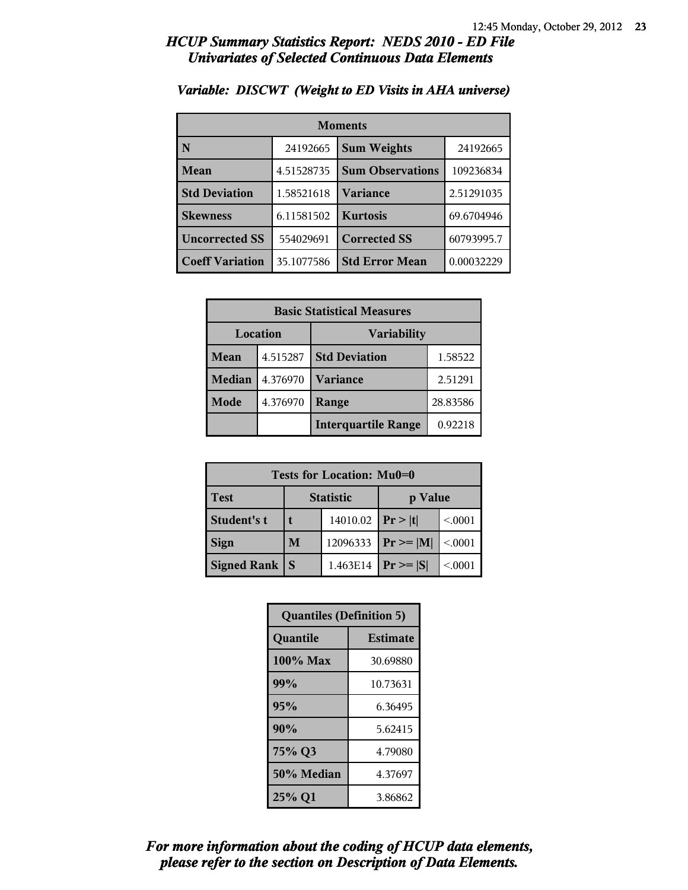### *HCUP Summary Statistics Report: NEDS 2010 - ED File Univariates of Selected Continuous Data Elements*

| <b>Moments</b>         |            |                         |            |  |
|------------------------|------------|-------------------------|------------|--|
| N                      | 24192665   | <b>Sum Weights</b>      | 24192665   |  |
| Mean                   | 4.51528735 | <b>Sum Observations</b> | 109236834  |  |
| <b>Std Deviation</b>   | 1.58521618 | Variance                | 2.51291035 |  |
| <b>Skewness</b>        | 6.11581502 | <b>Kurtosis</b>         | 69.6704946 |  |
| <b>Uncorrected SS</b>  | 554029691  | <b>Corrected SS</b>     | 60793995.7 |  |
| <b>Coeff Variation</b> | 35.1077586 | <b>Std Error Mean</b>   | 0.00032229 |  |

### *Variable: DISCWT (Weight to ED Visits in AHA universe)*

| <b>Basic Statistical Measures</b> |          |                            |          |  |  |  |
|-----------------------------------|----------|----------------------------|----------|--|--|--|
| Location                          |          | <b>Variability</b>         |          |  |  |  |
| Mean                              | 4.515287 | <b>Std Deviation</b>       | 1.58522  |  |  |  |
| <b>Median</b>                     | 4.376970 | <b>Variance</b>            | 2.51291  |  |  |  |
| Mode                              | 4.376970 | Range                      | 28.83586 |  |  |  |
|                                   |          | <b>Interquartile Range</b> | 0.92218  |  |  |  |

| Tests for Location: Mu0=0 |                  |          |                |         |  |  |  |
|---------------------------|------------------|----------|----------------|---------|--|--|--|
| <b>Test</b>               | <b>Statistic</b> |          | p Value        |         |  |  |  |
| Student's t               |                  | 14010.02 | Pr >  t        | < 0.001 |  |  |  |
| <b>Sign</b>               | M                | 12096333 | $Pr \ge =  M $ | < 0.001 |  |  |  |
| Signed Rank               | $\mathbf S$      | 1.463E14 | $Pr \geq  S $  | < 0001  |  |  |  |

| <b>Quantiles (Definition 5)</b> |                 |  |  |
|---------------------------------|-----------------|--|--|
| Quantile                        | <b>Estimate</b> |  |  |
| 100% Max                        | 30.69880        |  |  |
| 99%                             | 10.73631        |  |  |
| 95%                             | 6.36495         |  |  |
| 90%                             | 5.62415         |  |  |
| 75% Q3                          | 4.79080         |  |  |
| 50% Median                      | 4.37697         |  |  |
| 25% Q1                          | 3.86862         |  |  |